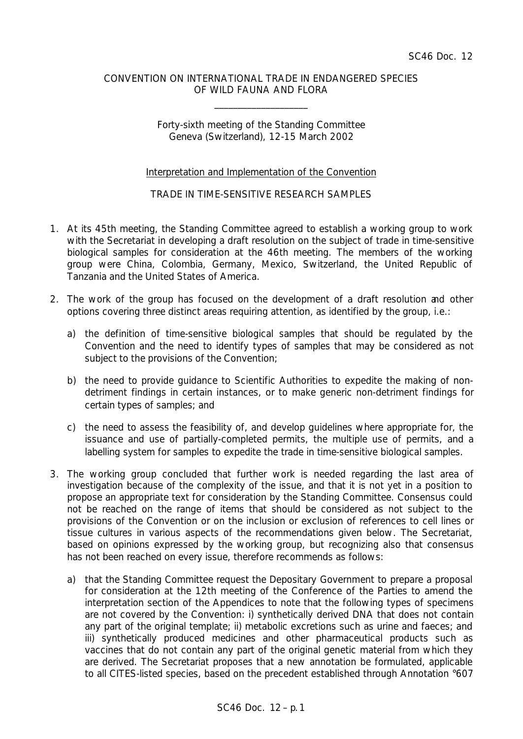### CONVENTION ON INTERNATIONAL TRADE IN ENDANGERED SPECIES OF WILD FAUNA AND FLORA

\_\_\_\_\_\_\_\_\_\_\_\_\_\_\_\_\_\_\_\_

Forty-sixth meeting of the Standing Committee Geneva (Switzerland), 12-15 March 2002

#### Interpretation and Implementation of the Convention

### TRADE IN TIME-SENSITIVE RESEARCH SAMPLES

- 1. At its 45th meeting, the Standing Committee agreed to establish a working group to work with the Secretariat in developing a draft resolution on the subject of trade in time-sensitive biological samples for consideration at the 46th meeting. The members of the working group were China, Colombia, Germany, Mexico, Switzerland, the United Republic of Tanzania and the United States of America.
- 2. The work of the group has focused on the development of a draft resolution and other options covering three distinct areas requiring attention, as identified by the group, i.e.:
	- a) the definition of time-sensitive biological samples that should be regulated by the Convention and the need to identify types of samples that may be considered as not subject to the provisions of the Convention;
	- b) the need to provide guidance to Scientific Authorities to expedite the making of nondetriment findings in certain instances, or to make generic non-detriment findings for certain types of samples; and
	- c) the need to assess the feasibility of, and develop guidelines where appropriate for, the issuance and use of partially-completed permits, the multiple use of permits, and a labelling system for samples to expedite the trade in time-sensitive biological samples.
- 3. The working group concluded that further work is needed regarding the last area of investigation because of the complexity of the issue, and that it is not yet in a position to propose an appropriate text for consideration by the Standing Committee. Consensus could not be reached on the range of items that should be considered as not subject to the provisions of the Convention or on the inclusion or exclusion of references to cell lines or tissue cultures in various aspects of the recommendations given below. The Secretariat, based on opinions expressed by the working group, but recognizing also that consensus has not been reached on every issue, therefore recommends as follows:
	- a) that the Standing Committee request the Depositary Government to prepare a proposal for consideration at the 12th meeting of the Conference of the Parties to amend the interpretation section of the Appendices to note that the following types of specimens are not covered by the Convention: i) synthetically derived DNA that does not contain any part of the original template; ii) metabolic excretions such as urine and faeces; and iii) synthetically produced medicines and other pharmaceutical products such as vaccines that do not contain any part of the original genetic material from which they are derived. The Secretariat proposes that a new annotation be formulated, applicable to all CITES-listed species, based on the precedent established through Annotation °607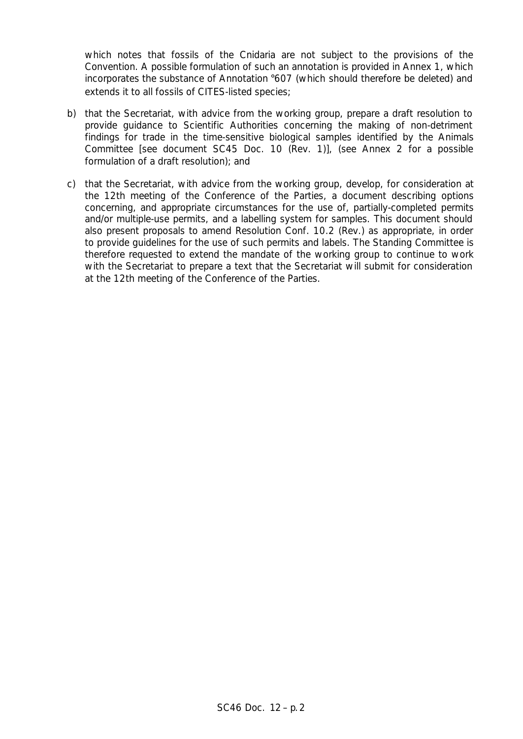which notes that fossils of the Cnidaria are not subject to the provisions of the Convention. A possible formulation of such an annotation is provided in Annex 1, which incorporates the substance of Annotation °607 (which should therefore be deleted) and extends it to all fossils of CITES-listed species;

- b) that the Secretariat, with advice from the working group, prepare a draft resolution to provide guidance to Scientific Authorities concerning the making of non-detriment findings for trade in the time-sensitive biological samples identified by the Animals Committee [see document SC45 Doc. 10 (Rev. 1)], (see Annex 2 for a possible formulation of a draft resolution); and
- c) that the Secretariat, with advice from the working group, develop, for consideration at the 12th meeting of the Conference of the Parties, a document describing options concerning, and appropriate circumstances for the use of, partially-completed permits and/or multiple-use permits, and a labelling system for samples. This document should also present proposals to amend Resolution Conf. 10.2 (Rev.) as appropriate, in order to provide guidelines for the use of such permits and labels. The Standing Committee is therefore requested to extend the mandate of the working group to continue to work with the Secretariat to prepare a text that the Secretariat will submit for consideration at the 12th meeting of the Conference of the Parties.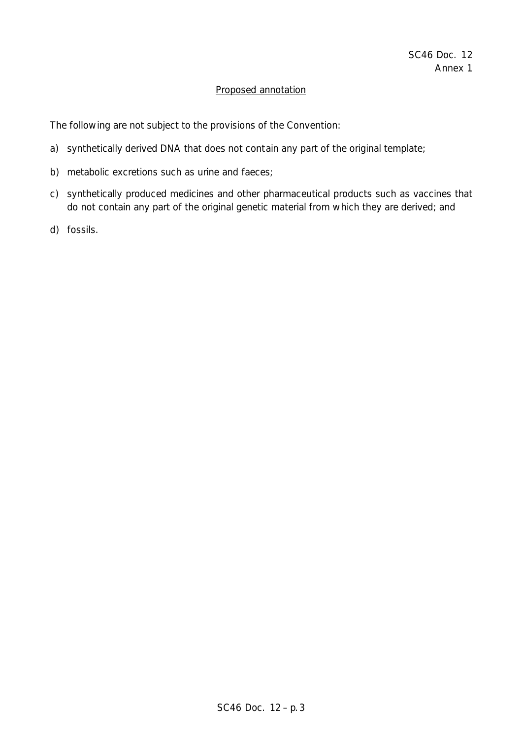# Proposed annotation

The following are not subject to the provisions of the Convention:

- a) synthetically derived DNA that does not contain any part of the original template;
- b) metabolic excretions such as urine and faeces;
- c) synthetically produced medicines and other pharmaceutical products such as vaccines that do not contain any part of the original genetic material from which they are derived; and
- d) fossils.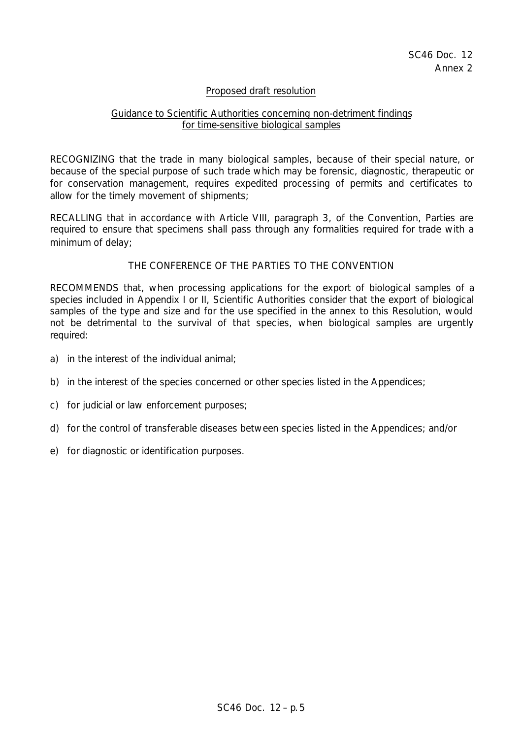#### Proposed draft resolution

#### Guidance to Scientific Authorities concerning non-detriment findings for time-sensitive biological samples

RECOGNIZING that the trade in many biological samples, because of their special nature, or because of the special purpose of such trade which may be forensic, diagnostic, therapeutic or for conservation management, requires expedited processing of permits and certificates to allow for the timely movement of shipments;

RECALLING that in accordance with Article VIII, paragraph 3, of the Convention, Parties are required to ensure that specimens shall pass through any formalities required for trade with a minimum of delay;

#### THE CONFERENCE OF THE PARTIES TO THE CONVENTION

RECOMMENDS that, when processing applications for the export of biological samples of a species included in Appendix I or II, Scientific Authorities consider that the export of biological samples of the type and size and for the use specified in the annex to this Resolution, would not be detrimental to the survival of that species, when biological samples are urgently required:

- a) in the interest of the individual animal;
- b) in the interest of the species concerned or other species listed in the Appendices;
- c) for judicial or law enforcement purposes;
- d) for the control of transferable diseases between species listed in the Appendices; and/or
- e) for diagnostic or identification purposes.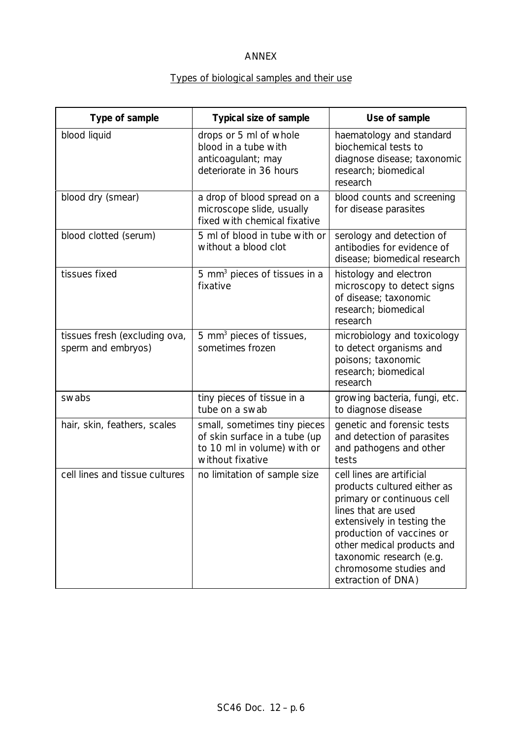# ANNEX

# Types of biological samples and their use

| Type of sample                                      | <b>Typical size of sample</b>                                                                                    | Use of sample                                                                                                                                                                                                                                                                      |
|-----------------------------------------------------|------------------------------------------------------------------------------------------------------------------|------------------------------------------------------------------------------------------------------------------------------------------------------------------------------------------------------------------------------------------------------------------------------------|
| blood liquid                                        | drops or 5 ml of whole<br>blood in a tube with<br>anticoagulant; may<br>deteriorate in 36 hours                  | haematology and standard<br>biochemical tests to<br>diagnose disease; taxonomic<br>research; biomedical<br>research                                                                                                                                                                |
| blood dry (smear)                                   | a drop of blood spread on a<br>microscope slide, usually<br>fixed with chemical fixative                         | blood counts and screening<br>for disease parasites                                                                                                                                                                                                                                |
| blood clotted (serum)                               | 5 ml of blood in tube with or<br>without a blood clot                                                            | serology and detection of<br>antibodies for evidence of<br>disease; biomedical research                                                                                                                                                                                            |
| tissues fixed                                       | 5 mm <sup>3</sup> pieces of tissues in a<br>fixative                                                             | histology and electron<br>microscopy to detect signs<br>of disease; taxonomic<br>research; biomedical<br>research                                                                                                                                                                  |
| tissues fresh (excluding ova,<br>sperm and embryos) | 5 mm <sup>3</sup> pieces of tissues,<br>sometimes frozen                                                         | microbiology and toxicology<br>to detect organisms and<br>poisons; taxonomic<br>research; biomedical<br>research                                                                                                                                                                   |
| swabs                                               | tiny pieces of tissue in a<br>tube on a swab                                                                     | growing bacteria, fungi, etc.<br>to diagnose disease                                                                                                                                                                                                                               |
| hair, skin, feathers, scales                        | small, sometimes tiny pieces<br>of skin surface in a tube (up<br>to 10 ml in volume) with or<br>without fixative | genetic and forensic tests<br>and detection of parasites<br>and pathogens and other<br>tests                                                                                                                                                                                       |
| cell lines and tissue cultures                      | no limitation of sample size                                                                                     | cell lines are artificial<br>products cultured either as<br>primary or continuous cell<br>lines that are used<br>extensively in testing the<br>production of vaccines or<br>other medical products and<br>taxonomic research (e.g.<br>chromosome studies and<br>extraction of DNA) |